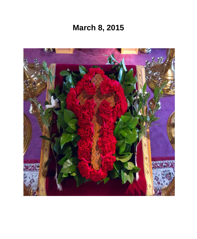# **March 8, 2015**

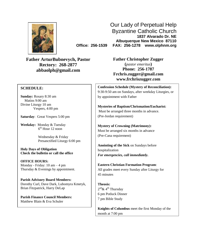

Our Lady of Perpetual Help Byzantine Catholic Church **1837 Alvarado Dr. NE Albuquerque New Mexico 87110 Office: 256-1539 FAX: 256-1278 www.olphnm.org**

**Father ArturBubnevych, Pastor Rectory: 268-2877 abbaolph@gmail.com**

#### **SCHEDULE:**

**Sunday:** Rosary 8:30 am Matins 9:00 am Divine Liturgy 10 am Vespers, 4:00 pm

**Saturday**: Great Vespers 5:00 pm

**Weekday:** Monday & Tuesday 6 th Hour 12 noon

> Wednesday & Friday Presanctified Liturgy 6:00 pm

**Holy Days of Obligation Check the bulletin or call the office**

**OFFICE HOURS:** Monday - Friday: 10 am – 4 pm Thursday & Evenings by appointment.

**Parish Advisory Board Members:** Dorothy Curl, Dave Dark, Lubomyra Kmetyk, Brian Fitzpatrick, Harry DeLap

**Parish Finance Council Members:** Matthew Blain & Eva Schuler

**Father Christopher Zugger (***pastor emeritus***) Phone: 256-1787 [Frchris.zugger@gmail.com](mailto:Frchris.zugger@gmail.com) www.frchriszugger.com**

**Confession Schedule (Mystery of Reconciliation):** 9:30-9:50 am on Sundays, after weekday Liturgies, or by appointment with Father

**Mysteries of Baptism/Chrismation/Eucharist:** Must be arranged three months in advance. (Pre-Jordan requirement)

**Mystery of Crowning (Matrimony):** Must be arranged six months in advance (Pre-Cana requirement)

**Anointing of the Sick** on Sundays before hospitalization *For emergencies, call immediately.*

**Eastern Christian Formation Program**: All grades meet every Sunday after Liturgy for 45 minutes

**Theosis:** 2<sup>nd</sup>& 4<sup>th</sup> Thursday 6 pm Potluck Dinner 7 pm Bible Study

**Knights of Columbus** meet the first Monday of the month at 7:00 pm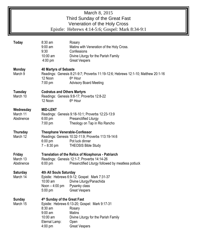| March 8, 2015<br>Third Sunday of the Great Fast<br>Veneration of the Holy Cross<br>Epistle: Hebrews 4:14-5:6; Gospel: Mark 8:34-9:1 |                                                                                                                                                                                                                                                               |  |  |  |  |  |
|-------------------------------------------------------------------------------------------------------------------------------------|---------------------------------------------------------------------------------------------------------------------------------------------------------------------------------------------------------------------------------------------------------------|--|--|--|--|--|
| <b>Today</b>                                                                                                                        | 8:30 am<br>Rosary<br>$9:00$ am<br>Matins with Veneration of the Holy Cross.<br>9:30<br>Confessions<br>10:00 am<br>Divine Liturgy for the Parish Family<br>4:00 pm<br><b>Great Vespers</b>                                                                     |  |  |  |  |  |
| <b>Monday</b><br>March 9                                                                                                            | <b>40 Martyrs of Sebaste</b><br>Readings: Genesis 8:21-9:7; Proverbs 11:19-12:6; Hebrews 12:1-10; Matthew 20:1-16<br>12 Noon<br>6 <sup>th</sup> Hour<br>7:00 pm<br><b>Advisory Board Meeting</b>                                                              |  |  |  |  |  |
| <b>Tuesday</b><br>March 10                                                                                                          | <b>Codratus and Others Martyrs</b><br>Readings: Genesis 9:8-17; Proverbs 12:8-22<br>12 Noon<br>6 <sup>th</sup> Hour                                                                                                                                           |  |  |  |  |  |
| Wednesday<br>March 11<br>Abstinence                                                                                                 | <b>MID-LENT</b><br>Readings: Genesis 9:18-10:1; Proverbs 12:23-13:9<br>$6:00 \text{ pm}$<br>Presanctified Liturgy<br>Theology on Tap in Rio Rancho<br>$7:00$ pm                                                                                               |  |  |  |  |  |
| Thursday<br>March 12                                                                                                                | <b>Theophane Venerable-Confessor</b><br>Readings: Genesis 10:32-11:9; Proverbs 113:19-14:6<br>$6:00$ pm<br>Pot luck dinner<br>$7 - 8:30$ pm<br><b>THEOSIS Bible Study</b>                                                                                     |  |  |  |  |  |
| Friday<br>March 13<br>Abstinence                                                                                                    | Translation of the Relics of Nicephorus - Patriarch<br>Readings: Genesis 12:1-7; Proverbs 14:14-26<br>6:00 pm<br>Presanctified Liturgy followed by meatless potluck                                                                                           |  |  |  |  |  |
| <b>Saturday</b><br>March 14                                                                                                         | 4th All Souls Saturday<br>Epistle: Hebrews 6:9-12; Gospel: Mark 7:31-37<br>10:00 am<br>Divine Liturgy/Panachida<br>Noon $-4:00$ pm<br>Pysanky class<br>5:00 pm<br><b>Great Vespers</b>                                                                        |  |  |  |  |  |
| <b>Sunday</b><br>March 15                                                                                                           | 4th Sunday of the Great Fast<br>Epistle: Hebrews 6:13-20; Gospel: Mark 9:17-31<br>$8:30$ am<br>Rosary<br>$9:00$ am<br><b>Matins</b><br>10:00 am<br>Divine Liturgy for the Parish Family<br>Eternal Lamp:<br>Open<br><b>Great Vespers</b><br>$4:00 \text{ pm}$ |  |  |  |  |  |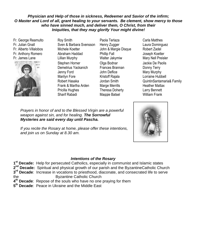#### *Physician and Help of those in sickness, Redeemer and Savior of the infirm; O Master and Lord of all, grant healing to your servants. Be clement, show mercy to those who have sinned much, and deliver them, O Christ, from their Iniquities, that they may glorify Your might divine!*

Fr. George Reamulto Fr. Julian Gnall Fr. Alberto Villalobos Fr. Anthony Romero Fr. James Lane



- Roy Smith Sven & Barbara Svensson Michele Koetter Abraham Haddad Lillian Murphy Stephen Horner Demetrius Yackanich Jenny Ford Marilyn Fore Robert Hasaka Frank & Martha Arden Pricilla Hughes Sharif Rabadi
- Paola Terlaza Henry Zugger John & Margie Disque Phillip Fall Walter Jakymiw Olga Bodnar Frances Brannan John Deflice Kristoff Rajala Jordan Smith Marge Merrills Theresa Doherty Maggie Batsel
- Carla Matthes Laura Dominguez Robert Zadel Joseph Koetter Mary Nell Preisler Jackie De Paolis Donny Terry Mary Murphy Lorraine Hubbell QuintinSantamaria& Family Heather Mattax Larry Bennett William Frank



Marilyn Fore-Family If you recite the Rosary at home, please offer these intentions,<br>and injuring an *Curriau of 2.22 am* and join us on Sunday at 8.30 am.

#### *Intentions of the Rosary*

 **st Decade:** Help for persecuted Catholics, especially in communist and Islamic states **nd Decade:** Spiritual and physical growth of our parish and the ByzantineCatholic Church **rd Decade**: Increase in vocations to priesthood, diaconate, and consecrated life to serve the Byzantine Catholic Church **th Decade**: Repose of the souls who have no one praying for them

**5 th Decade**: Peace in Ukraine and the Middle East

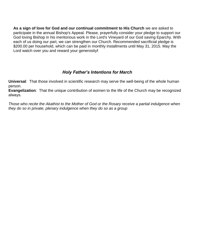**As a sign of love for God and our continual commitment to His Church** we are asked to participate in the annual Bishop's Appeal. Please, prayerfully consider your pledge to support our God loving Bishop in his meritorious work in the Lord's Vineyard of our God saving Eparchy. With each of us doing our part, we can strengthen our Church. Recommended sacrificial pledge is \$200.00 per household, which can be paid in monthly installments until May 31, 2015. May the Lord watch over you and reward your generosity**!** 

# *Holy Father's Intentions for March*

**Universal**: That those involved in scientific research may serve the well-being of the whole human person.

**Evangelization**: That the unique contribution of women to the life of the Church may be recognized always.

*Those who recite the Akathist to the Mother of God or the Rosary receive a partial indulgence when they do so in private, plenary indulgence when they do so as a group*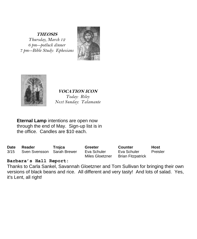**THEOSIS** *Thursday, March 12 6 pm--potluck dinner 7 pm--Bible Study: Ephesians*





### **VOCATION ICON** *Today: Riley Next Sunday: Talamante*

**Eternal Lamp** intentions are open now through the end of May. Sign-up list is in the office. Candles are \$10 each.

| Date | Reader                     | Trojca | Greeter                        | <b>Counter</b>           | Host     |
|------|----------------------------|--------|--------------------------------|--------------------------|----------|
| 3/15 | Sven Svensson Sarah Brewer |        | Eva Schuler<br>Miles Gloetzner | Eva Schuler              | Preisler |
|      |                            |        |                                | <b>Brian Fitzpatrick</b> |          |

## **Barbara's Hall Report:**

Thanks to Carla Sankel, Savannah Gloetzner and Tom Sullivan for bringing their own versions of black beans and rice. All different and very tasty! And lots of salad. Yes, it's Lent, all right!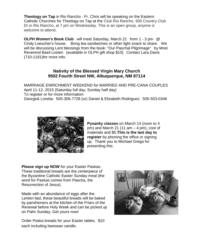**Theology on Tap** in Rio Rancho - Fr. Chris will be speaking on the Eastern Catholic Churches for Theology on Tap at the Club Rio Rancho, 500 Country Club Dr in Rio Rancho, at 7 pm on Wednesday. This is an open group, anyone is welcome to attend.

**OLPH Women's Book Club** will meet Saturday, March 21 from 1 - 3 pm @ Cindy Loescher's house. Bring tea sandwiches or other light snack to share. We will be discussing Lent blessings from the book: "Our Paschal Pilgrimage" by Most Reverend Basil Losten (available in OLPH gift shop \$10) Contact Lara Davis (710-1181)for more info.

#### **Nativity of the Blessed Virgin Mary Church 9502 Fourth Street NW, Albuquerque, NM 87114**

MARRIAGE ENRICHMENT WEEKEND for MARRIED AND PRE-CANA COUPLES April 11-12, 2015 (Saturday full day, Sunday half day) To register or for more information: George& Loretta: 505-306-7728 (or) Daniel & Elizabeth Rodriguez: 505-553-0346



**Pysanky classes** on March 14 (noon to 4 pm) and March 21 (11 am – 4 pm), cost of materials and \$5.**This is the last day to register** by phoning the office or signing up. Thank you to Michael Grega for presenting this.

**Please sign up NOW** for your Easter Paskas. These traditional breads are the centerpiece of the Byzantine Catholic Easter Sunday meal (the word for Paskas comes from Pascha, the Resurrection of Jesus).

Made with an abundance of eggs after the Lenten fast, these beautiful breads will be baked by parishioners at the kitchen of the Friars of the Renewal before Holy Week and can be picked up on Palm Sunday. Get yours now!

Order Paska breads for your Easter tables. \$10 each including beeswax candle.

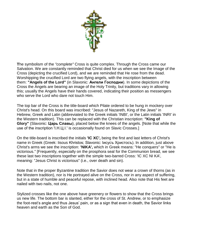

**T**he symbolism of the *"complete"* Cross is quite complex. Through the Cross came our Salvation. We are constantly reminded that Christ died for us when we see the Image of the Cross (depicting the crucified Lord), and we are reminded that He rose from the dead. Worshipping the crucified Lord are two flying angels, with the inscription between them: **"Angels of the Lord"** (in Slavonic: **Ангели Господни**). In some depictions of the Cross the Angels are bearing an image of the Holy Trinity, but traditions vary in allowing this; usually the Angels have their hands covered, indicating their position as messengers who serve the Lord who dare not touch Him.

The top bar of the Cross is the title-board which Pilate ordered to be hung in mockery over Christ's head. On this board was inscribed: "Jesus of Nazareth, King of the Jews" in Hebrew, Greek and Latin (abbreviated to the Greek initials 'INBI', or the Latin initials 'INRI' in the Western tradition). This can be replaced with the Christian inscription: **"King of Glory"** (Slavonic: **Царь Cлавы**), placed below the knees of the angels. [Note that while the use of the inscription 'I.H.L.I.' is occasionally found on Slavic Crosses.

On the title-board is inscribed the initials **'IC XC',** being the first and last letters of Christ's name in Greek (Greek: Iisous Khristos; Slavonic: Іисусъ Христосъ). In addition, just above Christ's arms we see the inscription: **'NIKA',** which in Greek means: "He conquers" or "He is victorious." [Frequently, especially on the prosphora seal for the Communion bread, we see these last two inscriptions together with the simple two-barred Cross: 'IC XC NI KA', meaning: "Jesus Christ is victorious" (i.e., over death and sin).

Note that in the proper Byzantine tradition the Savior does not wear a crown of thorns (as in the Western tradition), nor is He portrayed alive on the Cross, nor in any aspect of suffering, but in a state of humble and peaceful repose, with inclined head. Also note that His feet are nailed with two nails, not one.

Stylized crosses like the one above have greenery or flowers to show that the Cross brings us new life. The bottom bar is slanted, either for the cross of St. Andrew, or to emphasize the foot-rest's angle and thus Jesus' pain, or as a sign that even in death, the Savior links heaven and earth as the Son of God.